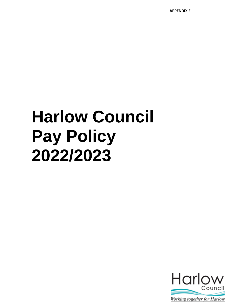**APPENDIX F**

# **Harlow Council Pay Policy 2022/2023**

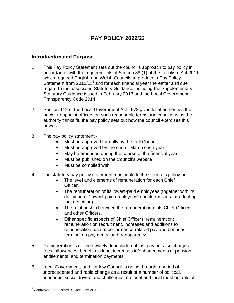# **PAY POLICY 2022/23**

# **Introduction and Purpose**

- 1. This Pay Policy Statement sets out the council's approach to pay policy in accordance with the requirements of Section 38 (1) of the Localism Act 2011 which required English and Welsh Councils to produce a Pay Policy Statement from  $2012/13<sup>1</sup>$  and for each financial year thereafter and due regard to the associated Statutory Guidance including the Supplementary Statutory Guidance issued in February 2013 and the Local Government Transparency Code 2014.
- 2. Section 112 of the Local Government Act 1972 gives local authorities the power to appoint officers on such reasonable terms and conditions as the authority thinks fit, the pay policy sets out how the council exercises this power.
- 3. The pay policy statement:-
	- Must be approved formally by the Full Council.
	- Must be approved by the end of March each year.
	- May be amended during the course of the financial year.
	- Must be published on the Council's website.
	- Must be complied with
- 4. The statutory pay policy statement must include the Council's policy on:
	- The level and elements of remuneration for each Chief Officer.
	- The remuneration of its lowest-paid employees (together with its definition of "lowest-paid employees" and its reasons for adopting that definition).
	- The relationship between the remuneration of its Chief Officers and other Officers.
	- Other specific aspects of Chief Officers' remuneration: remuneration on recruitment, increases and additions to remuneration, use of performance-related pay and bonuses, termination payments, and transparency.
- 5. Remuneration is defined widely, to include not just pay but also charges, fees, allowances, benefits in kind, increases in/enhancements of pension entitlements, and termination payments.
- 6. Local Government, and Harlow Council is going through a period of unprecedented and rapid change as a result of a number of political, economic, social drivers and challenges, national and local most notable of

 $\overline{a}$ <sup>1</sup> Approved at Cabinet 31 January 2012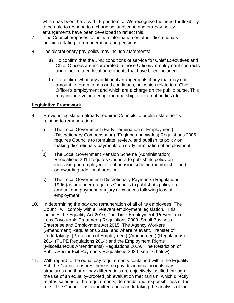which has been the Covid-19 pandemic. We recognise the need for flexibility to be able to respond to a changing landscape and our pay policy arrangements have been developed to reflect this.

- 7. The Council proposes to include information on other discretionary policies relating to remuneration and pensions.
- 8. The discretionary pay policy may include statements:
	- a) To confirm that the JNC conditions of service for Chief Executives and Chief Officers are incorporated in those Officers' employment contracts and other related local agreements that have been included.
	- b) To confirm what any additional arrangements if any that may not amount to formal terms and conditions, but which relate to a Chief Officer's employment and which are a charge on the public purse. This may include volunteering, membership of external bodies etc.

#### **Legislative Framework**

.

- 9. Previous legislation already requires Councils to publish statements relating to remuneration:
	- a) The Local Government (Early Termination of Employment) (Discretionary Compensation) (England and Wales) Regulations 2006 requires Councils to formulate, review, and publish its policy on making discretionary payments on early termination of employment.
	- b) The Local Government Pension Scheme (Administration) Regulations 2014 requires Councils to publish its policy on increasing an employee's total pension scheme membership and on awarding additional pension.
	- c) The Local Government (Discretionary Payments) Regulations 1996 (as amended) requires Councils to publish its policy on amount and payment of injury allowances following loss of employment.
- 10. In determining the pay and remuneration of all of its employees. The Council will comply with all relevant employment legislation. This includes the Equality Act 2010, Part Time Employment (Prevention of Less Favourable Treatment) Regulations 2000, Small Business, Enterprise and Employment Act 2015, The Agency Workers (Amendment) Regulations 2019, and where relevant, Transfer of Undertakings (Protection of Employment) (Amendment) (Regulations) 2014 (TUPE Regulations 2014) and the Employment Rights (Miscellaneous Amendments) Regulations 2019. The Restriction of Public Sector Exit Payments Regulations 2020 (see 46 below).
- 11. With regard to the equal pay requirements contained within the Equality Act, the Council ensures there is no pay discrimination in its pay structures and that all pay differentials are objectively justified through the use of an equality-proofed job evaluation mechanism, which directly relates salaries to the requirements, demands and responsibilities of the role. The Council has committed and is undertaking the analysis of the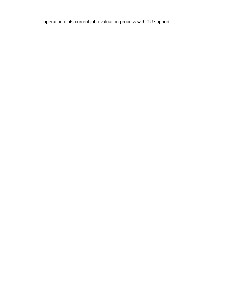operation of its current job evaluation process with TU support.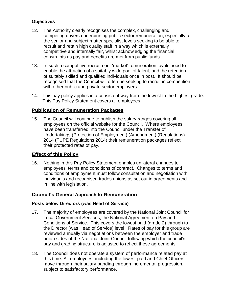#### **Objectives**

- 12. The Authority clearly recognises the complex, challenging and competing drivers underpinning public sector remuneration, especially at the senior and subject matter specialist levels seeking to be able to recruit and retain high quality staff in a way which is externally competitive and internally fair, whilst acknowledging the financial constraints as pay and benefits are met from public funds.
- 13. In such a competitive recruitment 'market' remuneration levels need to enable the attraction of a suitably wide pool of talent, and the retention of suitably skilled and qualified individuals once in post. It should be recognised that the Council will often be seeking to recruit in competition with other public and private sector employers.
- 14. This pay policy applies in a consistent way from the lowest to the highest grade. This Pay Policy Statement covers all employees.

#### **Publication of Remuneration Packages**

15. The Council will continue to publish the salary ranges covering all employees on the official website for the Council. Where employees have been transferred into the Council under the Transfer of Undertakings (Protection of Employment) (Amendment) (Regulations) 2014 (TUPE Regulations 2014) their remuneration packages reflect their protected rates of pay.

#### **Effect of this Policy**

16. Nothing in this Pay Policy Statement enables unilateral changes to employees' terms and conditions of contract. Changes to terms and conditions of employment must follow consultation and negotiation with individuals and recognised trades unions as set out in agreements and in line with legislation.

#### **Council's General Approach to Remuneration**

#### **Posts below Directors (was Head of Service)**

- 17. The majority of employees are covered by the National Joint Council for Local Government Services, the National Agreement on Pay and Conditions of Service. This covers the lowest paid (grade 2) through to the Director (was Head of Service) level. Rates of pay for this group are reviewed annually via negotiations between the employer and trade union sides of the National Joint Council following which the council's pay and grading structure is adjusted to reflect these agreements.
- 18. The Council does not operate a system of performance related pay at this time. All employees, including the lowest paid and Chief Officers move through their salary banding through incremental progression, subject to satisfactory performance.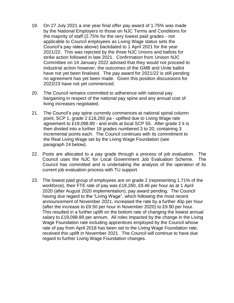- 19. On 27 July 2021 a one year final offer pay award of 1.75% was made by the National Employers to those on NJC Terms and Conditions for the majority of staff (2.75% for the very lowest paid grades - not applicable to Council employees as Living Wage status sets the Council's pay rates above) backdated to 1 April 2021 for the year 2021/22. This was rejected by the three NJC Unions and ballots for strike action followed in late 2021. Confirmation from Unison NJC Committee on 14 January 2022 advised that they would not proceed to industrial action however, the outcomes of the GMB and Unite ballot have not yet been finalised. The pay award for 2021/22 is still pending no agreement has yet been made. Given this position discussions for 2022/23 have not yet commenced.
- 20. The Council remains committed to adherence with national pay bargaining in respect of the national pay spine and any annual cost of living increases negotiated.
- 21. The Council's pay spine currently commences at national spinal column point, SCP 1, grade 2 £18,260 pa - uplifted due to Living Wage rate agreement to £19,098.89 - and ends at local SCP 55. After grade 2 it is then divided into a further 18 grades numbered 3 to 20, containing 3 incremental points each. The Council continues with its commitment to the Real Living Wage set by the Living Wage Foundation (see paragraph 24 below).
- 22. Posts are allocated to a pay grade through a process of job evaluation. The Council uses the NJC for Local Government Job Evaluation Scheme. The Council has committed and is undertaking the analysis of the operation of its current job evaluation process with TU support.
- 23. The lowest paid group of employees are on grade 2 (representing 1.71% of the workforce), their FTE rate of pay was £18,260, £9.46 per hour as at 1 April 2020 (after August 2020 implementation), pay award pending. The Council having due regard to the "Living Wage", which following the most recent announcement of November 2021, increased the rate by a further 40p per hour (after the increase to £9.50 per hour in November 2020) to £9.90 per hour. This resulted in a further uplift on the bottom rate of changing the lowest annual salary to £19,098.89 per annum. All roles impacted by the change in the Living Wage Foundation rate including apprentices employed by the Council whose rate of pay from April 2018 has been set to the Living Wage Foundation rate, received this uplift in November 2021. The Council will continue to have due regard to further Living Wage Foundation changes.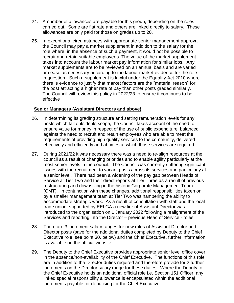- 24. A number of allowances are payable for this group, depending on the roles carried out. Some are flat rate and others are linked directly to salary. These allowances are only paid for those on grades up to 20.
- 25. In exceptional circumstances with appropriate senior management approval the Council may pay a market supplement in addition to the salary for the role where, in the absence of such a payment, it would not be possible to recruit and retain suitable employees. The value of the market supplement takes into account the labour market pay information for similar jobs. Any market supplements are to be reviewed on an annual basis and are varied or cease as necessary according to the labour market evidence for the role in question. Such a supplement is lawful under the Equality Act 2010 where there is evidence to justify that market factors are the "material reason" for the post attracting a higher rate of pay than other posts graded similarly. The Council will review this policy in 2022/23 to ensure it continues to be effective

#### **Senior Managers (Assistant Directors and above)**

- 26. In determining its grading structure and setting remuneration levels for any posts which fall outside its scope, the Council takes account of the need to ensure value for money in respect of the use of public expenditure, balanced against the need to recruit and retain employees who are able to meet the requirements of providing high quality services to the community, delivered effectively and efficiently and at times at which those services are required.
- 27. During 2021/22 it was necessary there was a need to re-align resources at the council as a result of changing priorities and to enable agility particularly at the most senior levels in the council. The Council was currently suffering significant issues with the recruitment to vacant posts across its services and particularly at a senior level. There had been a widening of the pay gap between Heads of Service at Tier Two and their direct reports at Tier Three as a result of previous restructuring and downsizing in the historic Corporate Management Team (CMT). In conjunction with these changes, additional responsibilities taken on by a smaller management team at Tier Two was hampering the ability to accommodate strategic work. As a result of consultation with staff and the local trade union, supported by EELGA a new tier of Assistant Director was introduced to the organisation on 1 January 2022 following a realignment of the Services and reporting into the Director – previous Head of Service - roles.
- 28. There are 3 increment salary ranges for new roles of Assistant Director and Director posts (save for the additional duties completed by Deputy to the Chief Executive role, see point 30, below) and the Chief Executive, further information is available on the official website.
- 29. The Deputy to the Chief Executive provides appropriate senior level office cover in the absence/non-availability of the Chief Executive. The functions of this role are in addition to the Director duties required and therefore provide for 2 further increments on the Director salary range for these duties. Where the Deputy to the Chief Executive holds an additional official role i.e. Section 151 Officer, any linked special responsibility allowance is encapsulated within the additional increments payable for deputising for the Chief Executive.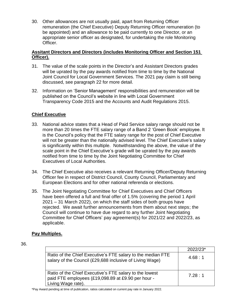30. Other allowances are not usually paid, apart from Returning Officer remuneration (the Chief Executive) Deputy Returning Officer remuneration (to be appointed) and an allowance to be paid currently to one Director, or an appropriate senior officer as designated, for undertaking the role Monitoring Officer.

#### **Assitant Directors and Directors (includes Monitoring Officer and Section 151 Officer).**

- 31. The value of the scale points in the Director's and Assistant Directors grades will be uprated by the pay awards notified from time to time by the National Joint Council for Local Government Services. The 2021 pay claim is still being discussed, see paragraph 22 for more detail.
- 32. Information on 'Senior Management' responsibilities and remuneration will be published on the Council's website in line with Local Government Transparency Code 2015 and the Accounts and Audit Regulations 2015.

# **Chief Executive**

- 33. National advice states that a Head of Paid Service salary range should not be more than 20 times the FTE salary range of a Band 2 'Green Book' employee. It is the Council's policy that the FTE salary range for the post of Chief Executive will not be greater than the nationally advised level. The Chief Executive's salary is significantly within this multiple. Notwithstanding the above, the value of the scale point in the Chief Executive's grade will be uprated by the pay awards notified from time to time by the Joint Negotiating Committee for Chief Executives of Local Authorities.
- 34. The Chief Executive also receives a relevant Returning Officer/Deputy Returning Officer fee in respect of District Council, County Council, Parliamentary and European Elections and for other national referenda or elections.
- 35. The Joint Negotiating Committee for Chief Executives and Chief Officers have been offered a full and final offer of 1.5% (covering the period 1 April 2021 – 31 March 2022), on which the staff sides of both groups have rejected. We await further announcements from them about next steps; the Council will continue to have due regard to any further Joint Negotiating Committee for Chief Officers' pay agreement(s) for 2021/22 and 2022/23, as applicable.

# **Pay Multiples.**

#### 36.

|                                                                                                                                     | 2022/23* |
|-------------------------------------------------------------------------------------------------------------------------------------|----------|
| Ratio of the Chief Executive's FTE salary to the median FTE<br>salary of the Council (£29,688 inclusive of Living Wage)             | 4.68:1   |
| Ratio of the Chief Executive's FTE salary to the lowest<br>paid FTE employees (£19,098.89 at £9.90 per hour -<br>Living Wage rate). | 7.28:1   |

\*Pay Award pending at time of publication, ratios calculated on current pay rate in January 2022.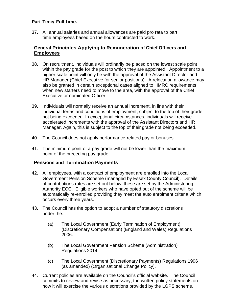# **Part Time/ Full time.**

37. All annual salaries and annual allowances are paid pro rata to part time employees based on the hours contracted to work.

#### **General Principles Applying to Remuneration of Chief Officers and Employees**

- 38. On recruitment, individuals will ordinarily be placed on the lowest scale point within the pay grade for the post to which they are appointed. Appointment to a higher scale point will only be with the approval of the Assistant Director and HR Manager (Chief Executive for senior positions). A relocation allowance may also be granted in certain exceptional cases aligned to HMRC requirements, when new starters need to move to the area, with the approval of the Chief Executive or nominated Officer.
- 39. Individuals will normally receive an annual increment, in line with their individual terms and conditions of employment, subject to the top of their grade not being exceeded. In exceptional circumstances, individuals will receive accelerated increments with the approval of the Assistant Directors and HR Manager. Again, this is subject to the top of their grade not being exceeded.
- 40. The Council does not apply performance-related pay or bonuses.
- 41. The minimum point of a pay grade will not be lower than the maximum point of the preceding pay grade.

# **Pensions and Termination Payments**

- 42. All employees, with a contract of employment are enrolled into the Local Government Pension Scheme (managed by Essex County Council). Details of contributions rates are set out below, these are set by the Administering Authority ECC. Eligible workers who have opted out of the scheme will be automatically re-enrolled providing they meet the auto enrolment criteria which occurs every three years.
- 43. The Council has the option to adopt a number of statutory discretions under the:-
	- (a) The Local Government (Early Termination of Employment) (Discretionary Compensation) (England and Wales) Regulations 2006.
	- (b) The Local Government Pension Scheme (Administration) Regulations 2014.
	- (c) The Local Government (Discretionary Payments) Regulations 1996 (as amended) (Organisational Change Policy).
- 44. Current policies are available on the Council's official website. The Council commits to review and revise as necessary, the written policy statements on how it will exercise the various discretions provided by the LGPS scheme.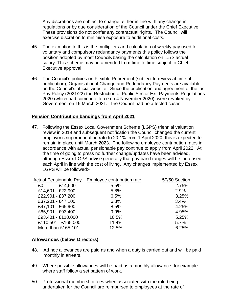Any discretions are subject to change, either in line with any change in regulations or by due consideration of the Council under the Chief Executive. These provisions do not confer any contractual rights. The Council will exercise discretion to minimise exposure to additional costs.

- 45. The exception to this is the multipliers and calculation of weekly pay used for voluntary and compulsory redundancy payments this policy follows the position adopted by most Councils basing the calculation on 1.5 x actual salary. This scheme may be amended from time to time subject to Chief Executive approval.
- 46. The Council's policies on Flexible Retirement (subject to review at time of publication), Organisational Change and Redundancy Payments are available on the Council's official website. Since the publication and agreement of the last Pay Policy (2021/22) the Restriction of Public Sector Exit Payments Regulations 2020 (which had come into force on 4 November 2020), were revoked by Government on 19 March 2021. The Council had no affected cases.

#### **Pension Contribution bandings from April 2021**

47. Following the Essex Local Government Scheme (LGPS) triennial valuation review in 2019 and subsequent notification the Council changed the current employer's superannuation rate to 20.1% from 1 April 2020, this is expected to remain in place until March 2023. The following employee contribution rates in accordance with actual pensionable pay continue to apply from April 2022. At the time of going to press no further change/updates have been advised, although Essex LGPS advise generally that pay band ranges will be increased each April in line with the cost of living. Any changes implemented by Essex LGPS will be followed:-

| <b>Actual Pensionable Pay</b> | Employee contribution rate | 50/50 Section |
|-------------------------------|----------------------------|---------------|
| $-£14,600$<br>£0              | 5.5%                       | 2.75%         |
| £14,601 - £22,900             | 5.8%                       | 2.9%          |
| £22,901 - £37,200             | 6.5%                       | 3.25%         |
| £37,201 - £47,100             | 6.8%                       | 3.4%          |
| £47,101 - £65,900             | 8.5%                       | 4.25%         |
| £65,901 - £93,400             | 9.9%                       | 4.95%         |
| £93,401 - £110,000            | 10.5%                      | 5.25%         |
| £110,501 - £165,000           | 11.4%                      | 5.7%          |
| More than £165,101            | 12.5%                      | 6.25%         |

#### **Allowances (below Directors)**

- 48. Ad hoc allowances are paid as and when a duty is carried out and will be paid monthly in arrears.
- 49. Where possible allowances will be paid as a monthly allowance, for example where staff follow a set pattern of work.
- 50. Professional membership fees when associated with the role being undertaken for the Council are reimbursed to employees at the rate of